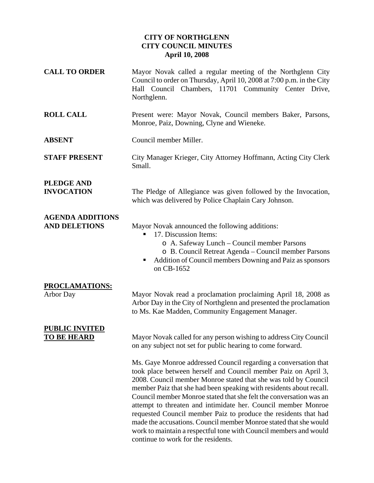## **CITY OF NORTHGLENN CITY COUNCIL MINUTES April 10, 2008**

| <b>CALL TO ORDER</b>                            | Mayor Novak called a regular meeting of the Northglenn City<br>Council to order on Thursday, April 10, 2008 at 7:00 p.m. in the City<br>Hall Council Chambers, 11701 Community Center Drive,<br>Northglenn.                                                                                                                                                                                                                                                                                                                                                                                                                                                            |  |  |
|-------------------------------------------------|------------------------------------------------------------------------------------------------------------------------------------------------------------------------------------------------------------------------------------------------------------------------------------------------------------------------------------------------------------------------------------------------------------------------------------------------------------------------------------------------------------------------------------------------------------------------------------------------------------------------------------------------------------------------|--|--|
| <b>ROLL CALL</b>                                | Present were: Mayor Novak, Council members Baker, Parsons,<br>Monroe, Paiz, Downing, Clyne and Wieneke.                                                                                                                                                                                                                                                                                                                                                                                                                                                                                                                                                                |  |  |
| <b>ABSENT</b>                                   | Council member Miller.                                                                                                                                                                                                                                                                                                                                                                                                                                                                                                                                                                                                                                                 |  |  |
| <b>STAFF PRESENT</b>                            | City Manager Krieger, City Attorney Hoffmann, Acting City Clerk<br>Small.                                                                                                                                                                                                                                                                                                                                                                                                                                                                                                                                                                                              |  |  |
| <b>PLEDGE AND</b><br><b>INVOCATION</b>          | The Pledge of Allegiance was given followed by the Invocation,<br>which was delivered by Police Chaplain Cary Johnson.                                                                                                                                                                                                                                                                                                                                                                                                                                                                                                                                                 |  |  |
| <b>AGENDA ADDITIONS</b><br><b>AND DELETIONS</b> | Mayor Novak announced the following additions:<br>17. Discussion Items:<br>п<br>o A. Safeway Lunch - Council member Parsons<br>o B. Council Retreat Agenda – Council member Parsons<br>Addition of Council members Downing and Paiz as sponsors<br>п<br>on CB-1652                                                                                                                                                                                                                                                                                                                                                                                                     |  |  |
| <b>PROCLAMATIONS:</b><br><b>Arbor</b> Day       | Mayor Novak read a proclamation proclaiming April 18, 2008 as<br>Arbor Day in the City of Northglenn and presented the proclamation<br>to Ms. Kae Madden, Community Engagement Manager.                                                                                                                                                                                                                                                                                                                                                                                                                                                                                |  |  |
| <b>PUBLIC INVITED</b><br><b>TO BE HEARD</b>     | Mayor Novak called for any person wishing to address City Council<br>on any subject not set for public hearing to come forward.                                                                                                                                                                                                                                                                                                                                                                                                                                                                                                                                        |  |  |
|                                                 | Ms. Gaye Monroe addressed Council regarding a conversation that<br>took place between herself and Council member Paiz on April 3,<br>2008. Council member Monroe stated that she was told by Council<br>member Paiz that she had been speaking with residents about recall.<br>Council member Monroe stated that she felt the conversation was an<br>attempt to threaten and intimidate her. Council member Monroe<br>requested Council member Paiz to produce the residents that had<br>made the accusations. Council member Monroe stated that she would<br>work to maintain a respectful tone with Council members and would<br>continue to work for the residents. |  |  |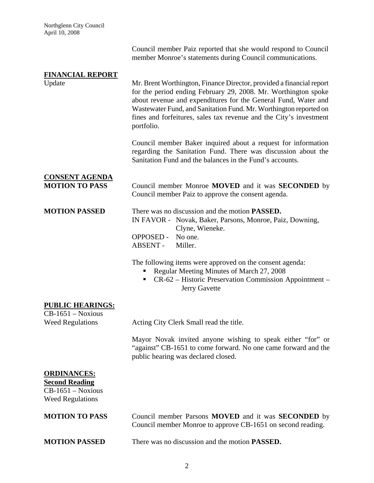|                                                                                               | Council member Paiz reported that she would respond to Council<br>member Monroe's statements during Council communications.                                                                                                                                                                                                                                       |
|-----------------------------------------------------------------------------------------------|-------------------------------------------------------------------------------------------------------------------------------------------------------------------------------------------------------------------------------------------------------------------------------------------------------------------------------------------------------------------|
| <b>FINANCIAL REPORT</b>                                                                       |                                                                                                                                                                                                                                                                                                                                                                   |
| Update                                                                                        | Mr. Brent Worthington, Finance Director, provided a financial report<br>for the period ending February 29, 2008. Mr. Worthington spoke<br>about revenue and expenditures for the General Fund, Water and<br>Wastewater Fund, and Sanitation Fund. Mr. Worthington reported on<br>fines and forfeitures, sales tax revenue and the City's investment<br>portfolio. |
|                                                                                               | Council member Baker inquired about a request for information<br>regarding the Sanitation Fund. There was discussion about the<br>Sanitation Fund and the balances in the Fund's accounts.                                                                                                                                                                        |
| <b>CONSENT AGENDA</b>                                                                         |                                                                                                                                                                                                                                                                                                                                                                   |
| <b>MOTION TO PASS</b>                                                                         | Council member Monroe <b>MOVED</b> and it was <b>SECONDED</b> by<br>Council member Paiz to approve the consent agenda.                                                                                                                                                                                                                                            |
| <b>MOTION PASSED</b>                                                                          | There was no discussion and the motion <b>PASSED</b> .<br>IN FAVOR - Novak, Baker, Parsons, Monroe, Paiz, Downing,<br>Clyne, Wieneke.<br><b>OPPOSED -</b><br>No one.<br>ABSENT -<br>Miller.                                                                                                                                                                       |
|                                                                                               | The following items were approved on the consent agenda:<br>Regular Meeting Minutes of March 27, 2008<br>ш<br>CR-62 – Historic Preservation Commission Appointment –<br>٠<br>Jerry Gavette                                                                                                                                                                        |
| <b>PUBLIC HEARINGS:</b>                                                                       |                                                                                                                                                                                                                                                                                                                                                                   |
| CB-1651 - Noxious                                                                             |                                                                                                                                                                                                                                                                                                                                                                   |
| <b>Weed Regulations</b>                                                                       | Acting City Clerk Small read the title.                                                                                                                                                                                                                                                                                                                           |
|                                                                                               | Mayor Novak invited anyone wishing to speak either "for" or<br>"against" CB-1651 to come forward. No one came forward and the<br>public hearing was declared closed.                                                                                                                                                                                              |
| <b>ORDINANCES:</b><br><b>Second Reading</b><br>$CB-1651 - Noxious$<br><b>Weed Regulations</b> |                                                                                                                                                                                                                                                                                                                                                                   |
| <b>MOTION TO PASS</b>                                                                         | Council member Parsons <b>MOVED</b> and it was <b>SECONDED</b> by<br>Council member Monroe to approve CB-1651 on second reading.                                                                                                                                                                                                                                  |
| <b>MOTION PASSED</b>                                                                          | There was no discussion and the motion PASSED.                                                                                                                                                                                                                                                                                                                    |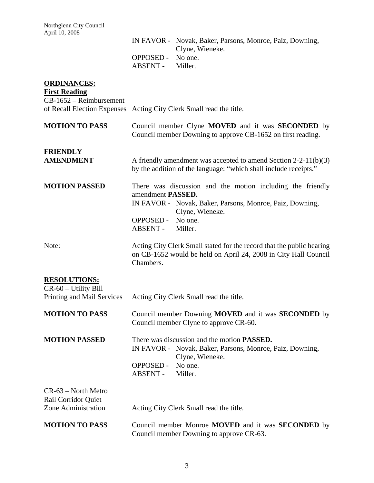|                                                                       | IN FAVOR - Novak, Baker, Parsons, Monroe, Paiz, Downing,<br>Clyne, Wieneke.<br>No one.<br><b>OPPOSED -</b>                                                                                                           |  |  |  |
|-----------------------------------------------------------------------|----------------------------------------------------------------------------------------------------------------------------------------------------------------------------------------------------------------------|--|--|--|
|                                                                       | ABSENT -<br>Miller.                                                                                                                                                                                                  |  |  |  |
| <b>ORDINANCES:</b><br><b>First Reading</b><br>CB-1652 – Reimbursement |                                                                                                                                                                                                                      |  |  |  |
|                                                                       | of Recall Election Expenses Acting City Clerk Small read the title.                                                                                                                                                  |  |  |  |
| <b>MOTION TO PASS</b>                                                 | Council member Clyne MOVED and it was SECONDED by<br>Council member Downing to approve CB-1652 on first reading.                                                                                                     |  |  |  |
| <b>FRIENDLY</b><br><b>AMENDMENT</b>                                   | A friendly amendment was accepted to amend Section $2-2-11(b)(3)$<br>by the addition of the language: "which shall include receipts."                                                                                |  |  |  |
| <b>MOTION PASSED</b>                                                  | There was discussion and the motion including the friendly<br>amendment PASSED.<br>IN FAVOR - Novak, Baker, Parsons, Monroe, Paiz, Downing,<br>Clyne, Wieneke.<br><b>OPPOSED -</b><br>No one.<br>ABSENT -<br>Miller. |  |  |  |
| Note:                                                                 | Acting City Clerk Small stated for the record that the public hearing<br>on CB-1652 would be held on April 24, 2008 in City Hall Council<br>Chambers.                                                                |  |  |  |
| <b>RESOLUTIONS:</b>                                                   |                                                                                                                                                                                                                      |  |  |  |
| CR-60 - Utility Bill<br>Printing and Mail Services                    | Acting City Clerk Small read the title.                                                                                                                                                                              |  |  |  |
| <b>MOTION TO PASS</b>                                                 | Council member Downing MOVED and it was SECONDED by<br>Council member Clyne to approve CR-60.                                                                                                                        |  |  |  |
| <b>MOTION PASSED</b>                                                  | There was discussion and the motion <b>PASSED</b> .<br>IN FAVOR - Novak, Baker, Parsons, Monroe, Paiz, Downing,<br>Clyne, Wieneke.<br><b>OPPOSED -</b><br>No one.<br>ABSENT-<br>Miller.                              |  |  |  |
| CR-63 - North Metro<br>Rail Corridor Quiet<br>Zone Administration     | Acting City Clerk Small read the title.                                                                                                                                                                              |  |  |  |
| <b>MOTION TO PASS</b>                                                 | Council member Monroe <b>MOVED</b> and it was <b>SECONDED</b> by<br>Council member Downing to approve CR-63.                                                                                                         |  |  |  |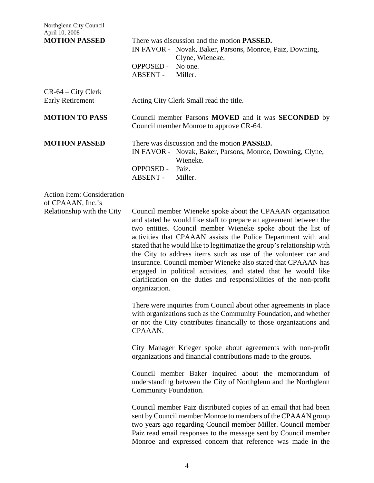Northglenn City Council April 10, 2008

| April 10, 2008<br><b>MOTION PASSED</b>                                               | There was discussion and the motion <b>PASSED</b> .<br>IN FAVOR - Novak, Baker, Parsons, Monroe, Paiz, Downing,<br>Clyne, Wieneke.<br>No one.<br><b>OPPOSED -</b><br>ABSENT -<br>Miller.                                                                                                                                                                                                                                                                                                                                                                                                                                                                                                                                                                                                                                                                                                                                                                                                                                                                                                                                                                                                                                                                                                                                                                                                                                                                                                       |  |
|--------------------------------------------------------------------------------------|------------------------------------------------------------------------------------------------------------------------------------------------------------------------------------------------------------------------------------------------------------------------------------------------------------------------------------------------------------------------------------------------------------------------------------------------------------------------------------------------------------------------------------------------------------------------------------------------------------------------------------------------------------------------------------------------------------------------------------------------------------------------------------------------------------------------------------------------------------------------------------------------------------------------------------------------------------------------------------------------------------------------------------------------------------------------------------------------------------------------------------------------------------------------------------------------------------------------------------------------------------------------------------------------------------------------------------------------------------------------------------------------------------------------------------------------------------------------------------------------|--|
| $CR-64 - City$ Clerk<br><b>Early Retirement</b>                                      | Acting City Clerk Small read the title.                                                                                                                                                                                                                                                                                                                                                                                                                                                                                                                                                                                                                                                                                                                                                                                                                                                                                                                                                                                                                                                                                                                                                                                                                                                                                                                                                                                                                                                        |  |
| <b>MOTION TO PASS</b>                                                                | Council member Parsons <b>MOVED</b> and it was <b>SECONDED</b> by<br>Council member Monroe to approve CR-64.                                                                                                                                                                                                                                                                                                                                                                                                                                                                                                                                                                                                                                                                                                                                                                                                                                                                                                                                                                                                                                                                                                                                                                                                                                                                                                                                                                                   |  |
| <b>MOTION PASSED</b>                                                                 | There was discussion and the motion PASSED.<br>IN FAVOR - Novak, Baker, Parsons, Monroe, Downing, Clyne,<br>Wieneke.<br><b>OPPOSED -</b><br>Paiz.<br>ABSENT - Miller.                                                                                                                                                                                                                                                                                                                                                                                                                                                                                                                                                                                                                                                                                                                                                                                                                                                                                                                                                                                                                                                                                                                                                                                                                                                                                                                          |  |
| <b>Action Item: Consideration</b><br>of CPAAAN, Inc.'s<br>Relationship with the City | Council member Wieneke spoke about the CPAAAN organization<br>and stated he would like staff to prepare an agreement between the<br>two entities. Council member Wieneke spoke about the list of<br>activities that CPAAAN assists the Police Department with and<br>stated that he would like to legitimatize the group's relationship with<br>the City to address items such as use of the volunteer car and<br>insurance. Council member Wieneke also stated that CPAAAN has<br>engaged in political activities, and stated that he would like<br>clarification on the duties and responsibilities of the non-profit<br>organization.<br>There were inquiries from Council about other agreements in place<br>with organizations such as the Community Foundation, and whether<br>or not the City contributes financially to those organizations and<br>CPAAAN.<br>City Manager Krieger spoke about agreements with non-profit<br>organizations and financial contributions made to the groups.<br>Council member Baker inquired about the memorandum of<br>understanding between the City of Northglenn and the Northglenn<br>Community Foundation.<br>Council member Paiz distributed copies of an email that had been<br>sent by Council member Monroe to members of the CPAAAN group<br>two years ago regarding Council member Miller. Council member<br>Paiz read email responses to the message sent by Council member<br>Monroe and expressed concern that reference was made in the |  |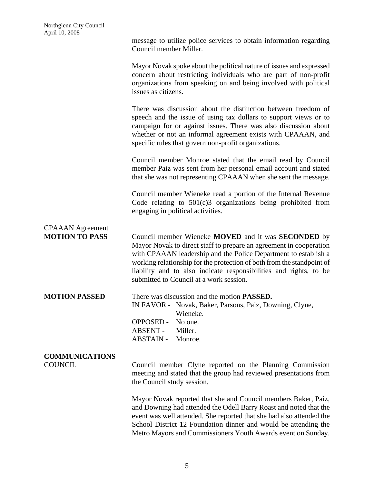message to utilize police services to obtain information regarding Council member Miller.

 Mayor Novak spoke about the political nature of issues and expressed concern about restricting individuals who are part of non-profit organizations from speaking on and being involved with political issues as citizens.

 There was discussion about the distinction between freedom of speech and the issue of using tax dollars to support views or to campaign for or against issues. There was also discussion about whether or not an informal agreement exists with CPAAAN, and specific rules that govern non-profit organizations.

 Council member Monroe stated that the email read by Council member Paiz was sent from her personal email account and stated that she was not representing CPAAAN when she sent the message.

 Council member Wieneke read a portion of the Internal Revenue Code relating to 501(c)3 organizations being prohibited from engaging in political activities.

## CPAAAN Agreement

**MOTION TO PASS** Council member Wieneke **MOVED** and it was **SECONDED** by Mayor Novak to direct staff to prepare an agreement in cooperation with CPAAAN leadership and the Police Department to establish a working relationship for the protection of both from the standpoint of liability and to also indicate responsibilities and rights, to be submitted to Council at a work session.

| <b>MOTION PASSED</b> |                   | There was discussion and the motion <b>PASSED</b> .     |
|----------------------|-------------------|---------------------------------------------------------|
|                      |                   | IN FAVOR - Novak, Baker, Parsons, Paiz, Downing, Clyne, |
|                      |                   | Wieneke.                                                |
|                      | OPPOSED - No one. |                                                         |
|                      | ABSENT - Miller.  |                                                         |
|                      | ABSTAIN - Monroe. |                                                         |
|                      |                   |                                                         |

## **COMMUNICATIONS**

COUNCIL Council member Clyne reported on the Planning Commission meeting and stated that the group had reviewed presentations from the Council study session.

> Mayor Novak reported that she and Council members Baker, Paiz, and Downing had attended the Odell Barry Roast and noted that the event was well attended. She reported that she had also attended the School District 12 Foundation dinner and would be attending the Metro Mayors and Commissioners Youth Awards event on Sunday.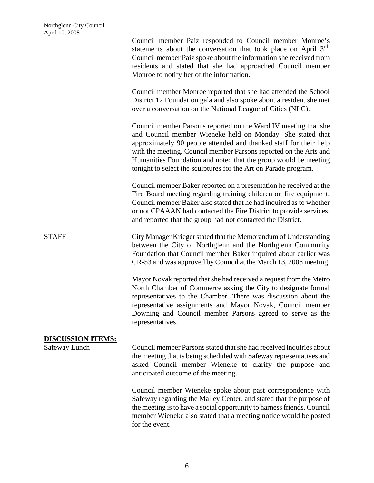| $A$ phi 10, 2000                          | Council member Paiz responded to Council member Monroe's<br>statements about the conversation that took place on April $3rd$ .<br>Council member Paiz spoke about the information she received from<br>residents and stated that she had approached Council member<br>Monroe to notify her of the information.                                                                                                |
|-------------------------------------------|---------------------------------------------------------------------------------------------------------------------------------------------------------------------------------------------------------------------------------------------------------------------------------------------------------------------------------------------------------------------------------------------------------------|
|                                           | Council member Monroe reported that she had attended the School<br>District 12 Foundation gala and also spoke about a resident she met<br>over a conversation on the National League of Cities (NLC).                                                                                                                                                                                                         |
|                                           | Council member Parsons reported on the Ward IV meeting that she<br>and Council member Wieneke held on Monday. She stated that<br>approximately 90 people attended and thanked staff for their help<br>with the meeting. Council member Parsons reported on the Arts and<br>Humanities Foundation and noted that the group would be meeting<br>tonight to select the sculptures for the Art on Parade program. |
|                                           | Council member Baker reported on a presentation he received at the<br>Fire Board meeting regarding training children on fire equipment.<br>Council member Baker also stated that he had inquired as to whether<br>or not CPAAAN had contacted the Fire District to provide services,<br>and reported that the group had not contacted the District.                                                           |
| <b>STAFF</b>                              | City Manager Krieger stated that the Memorandum of Understanding<br>between the City of Northglenn and the Northglenn Community<br>Foundation that Council member Baker inquired about earlier was<br>CR-53 and was approved by Council at the March 13, 2008 meeting.                                                                                                                                        |
|                                           | Mayor Novak reported that she had received a request from the Metro<br>North Chamber of Commerce asking the City to designate formal<br>representatives to the Chamber. There was discussion about the<br>representative assignments and Mayor Novak, Council member<br>Downing and Council member Parsons agreed to serve as the<br>representatives.                                                         |
| <b>DISCUSSION ITEMS:</b><br>Safeway Lunch | Council member Parsons stated that she had received inquiries about<br>the meeting that is being scheduled with Safeway representatives and<br>asked Council member Wieneke to clarify the purpose and<br>anticipated outcome of the meeting.                                                                                                                                                                 |
|                                           | Council member Wieneke spoke about past correspondence with<br>Safeway regarding the Malley Center, and stated that the purpose of<br>the meeting is to have a social opportunity to harness friends. Council<br>member Wieneke also stated that a meeting notice would be posted<br>for the event.                                                                                                           |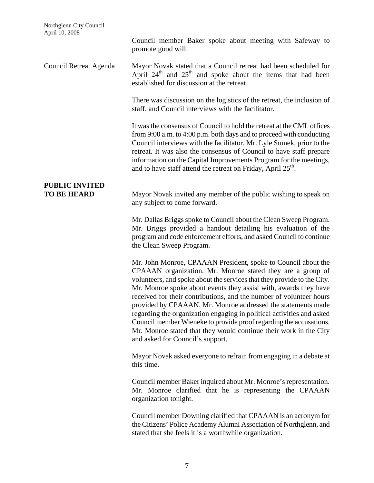Northglenn City Council April 10, 2008 Council member Baker spoke about meeting with Safeway to promote good will. Council Retreat Agenda Mayor Novak stated that a Council retreat had been scheduled for April  $24<sup>th</sup>$  and  $25<sup>th</sup>$  and spoke about the items that had been established for discussion at the retreat. There was discussion on the logistics of the retreat, the inclusion of staff, and Council interviews with the facilitator. It was the consensus of Council to hold the retreat at the CML offices from 9:00 a.m. to 4:00 p.m. both days and to proceed with conducting Council interviews with the facilitator, Mr. Lyle Sumek, prior to the retreat. It was also the consensus of Council to have staff prepare information on the Capital Improvements Program for the meetings, and to have staff attend the retreat on Friday, April  $25<sup>th</sup>$ . **PUBLIC INVITED TO BE HEARD** Mayor Novak invited any member of the public wishing to speak on any subject to come forward. Mr. Dallas Briggs spoke to Council about the Clean Sweep Program. Mr. Briggs provided a handout detailing his evaluation of the program and code enforcement efforts, and asked Council to continue the Clean Sweep Program. Mr. John Monroe, CPAAAN President, spoke to Council about the CPAAAN organization. Mr. Monroe stated they are a group of volunteers, and spoke about the services that they provide to the City. Mr. Monroe spoke about events they assist with, awards they have received for their contributions, and the number of volunteer hours provided by CPAAAN. Mr. Monroe addressed the statements made regarding the organization engaging in political activities and asked Council member Wieneke to provide proof regarding the accusations. Mr. Monroe stated that they would continue their work in the City and asked for Council's support. Mayor Novak asked everyone to refrain from engaging in a debate at this time. Council member Baker inquired about Mr. Monroe's representation. Mr. Monroe clarified that he is representing the CPAAAN organization tonight. Council member Downing clarified that CPAAAN is an acronym for the Citizens' Police Academy Alumni Association of Northglenn, and

stated that she feels it is a worthwhile organization.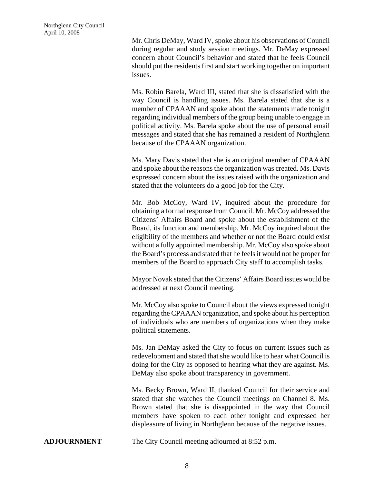Mr. Chris DeMay, Ward IV, spoke about his observations of Council during regular and study session meetings. Mr. DeMay expressed concern about Council's behavior and stated that he feels Council should put the residents first and start working together on important issues.

 Ms. Robin Barela, Ward III, stated that she is dissatisfied with the way Council is handling issues. Ms. Barela stated that she is a member of CPAAAN and spoke about the statements made tonight regarding individual members of the group being unable to engage in political activity. Ms. Barela spoke about the use of personal email messages and stated that she has remained a resident of Northglenn because of the CPAAAN organization.

 Ms. Mary Davis stated that she is an original member of CPAAAN and spoke about the reasons the organization was created. Ms. Davis expressed concern about the issues raised with the organization and stated that the volunteers do a good job for the City.

 Mr. Bob McCoy, Ward IV, inquired about the procedure for obtaining a formal response from Council. Mr. McCoy addressed the Citizens' Affairs Board and spoke about the establishment of the Board, its function and membership. Mr. McCoy inquired about the eligibility of the members and whether or not the Board could exist without a fully appointed membership. Mr. McCoy also spoke about the Board's process and stated that he feels it would not be proper for members of the Board to approach City staff to accomplish tasks.

 Mayor Novak stated that the Citizens' Affairs Board issues would be addressed at next Council meeting.

 Mr. McCoy also spoke to Council about the views expressed tonight regarding the CPAAAN organization, and spoke about his perception of individuals who are members of organizations when they make political statements.

 Ms. Jan DeMay asked the City to focus on current issues such as redevelopment and stated that she would like to hear what Council is doing for the City as opposed to hearing what they are against. Ms. DeMay also spoke about transparency in government.

 Ms. Becky Brown, Ward II, thanked Council for their service and stated that she watches the Council meetings on Channel 8. Ms. Brown stated that she is disappointed in the way that Council members have spoken to each other tonight and expressed her displeasure of living in Northglenn because of the negative issues.

**ADJOURNMENT** The City Council meeting adjourned at 8:52 p.m.